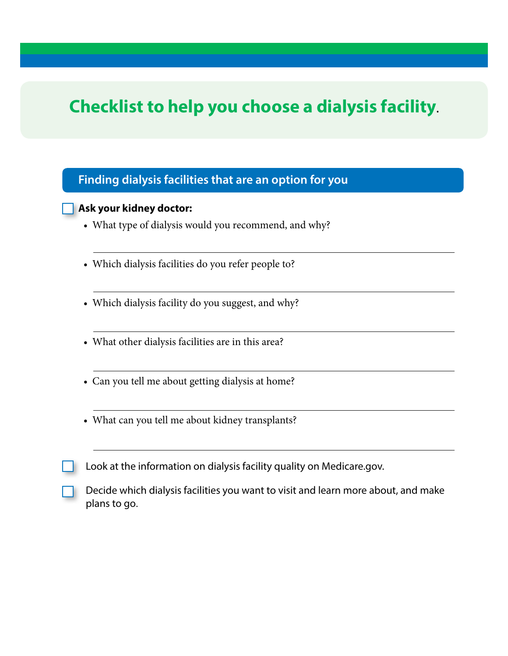# **Checklist to help you choose a dialysis facility.**

### **Finding dialysis facilities that are an option for you**

#### **Ask your kidney doctor:**

- What type of dialysis would you recommend, and why?
- Which dialysis facilities do you refer people to?
- Which dialysis facility do you suggest, and why?
- What other dialysis facilities are in this area?
- Can you tell me about getting dialysis at home?
- What can you tell me about kidney transplants?
- Look at the information on dialysis facility quality on [Medicare.gov.](http://Medicare.gov)
- Decide which dialysis facilities you want to visit and learn more about, and make plans to go.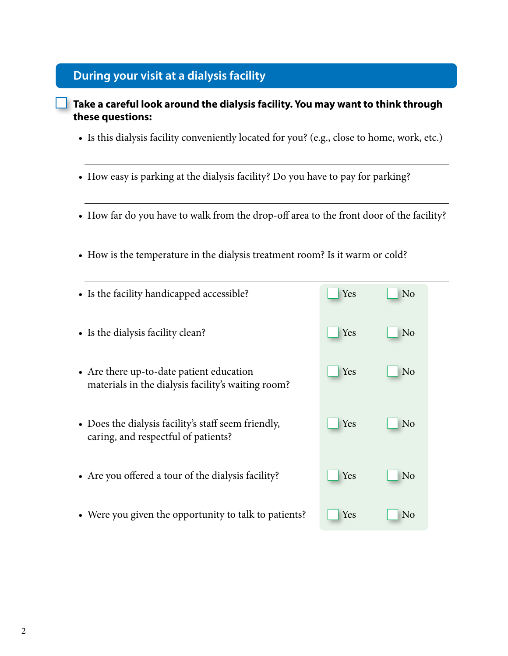### **During your visit at a dialysis facility**

### **Take a careful look around the dialysis facility. You may want to think through these questions:**

- Is this dialysis facility conveniently located for you? (e.g., close to home, work, etc.)
- How easy is parking at the dialysis facility? Do you have to pay for parking?
- How far do you have to walk from the drop-off area to the front door of the facility?
- How is the temperature in the dialysis treatment room? Is it warm or cold?

| • Is the facility handicapped accessible?                                                      | Yes | N <sub>o</sub> |
|------------------------------------------------------------------------------------------------|-----|----------------|
| • Is the dialysis facility clean?                                                              | Yes | N <sub>0</sub> |
| • Are there up-to-date patient education<br>materials in the dialysis facility's waiting room? | Yes | N <sub>0</sub> |
| • Does the dialysis facility's staff seem friendly,<br>caring, and respectful of patients?     | Yes | N <sub>o</sub> |
| • Are you offered a tour of the dialysis facility?                                             | Yes | N <sub>o</sub> |
| • Were you given the opportunity to talk to patients?                                          | Yes | <b>No</b>      |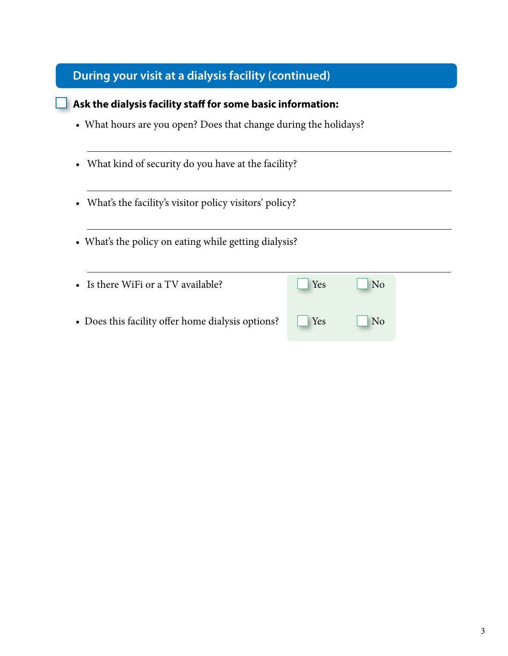## **During your visit at a dialysis facility (continued)**

| Ask the dialysis facility staff for some basic information:         |     |                |  |
|---------------------------------------------------------------------|-----|----------------|--|
| • What hours are you open? Does that change during the holidays?    |     |                |  |
| What kind of security do you have at the facility?<br>$\bullet$     |     |                |  |
| What's the facility's visitor policy visitors' policy?<br>$\bullet$ |     |                |  |
| • What's the policy on eating while getting dialysis?               |     |                |  |
| Is there WiFi or a TV available?                                    | Yes | N <sub>o</sub> |  |
| • Does this facility offer home dialysis options?                   | Yes | N <sub>o</sub> |  |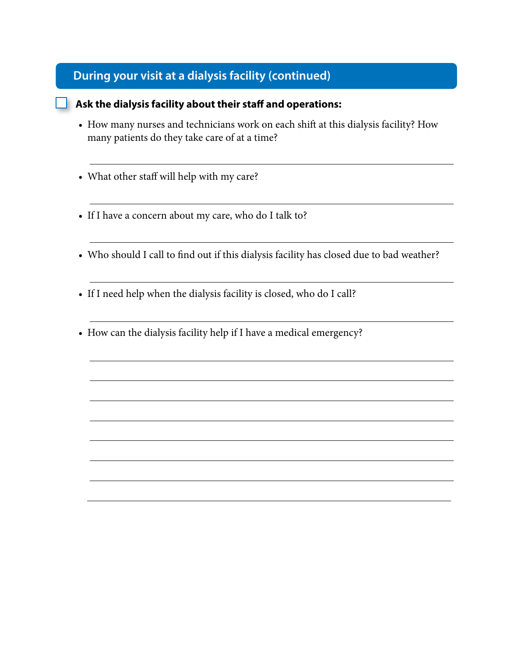## **During your visit at a dialysis facility (continued)**

#### **Ask the dialysis facility about their staff and operations:**

- How many nurses and technicians work on each shift at this dialysis facility? How many patients do they take care of at a time?
- What other staff will help with my care?
- If I have a concern about my care, who do I talk to?
- Who should I call to find out if this dialysis facility has closed due to bad weather?
- If I need help when the dialysis facility is closed, who do I call?
- How can the dialysis facility help if I have a medical emergency?